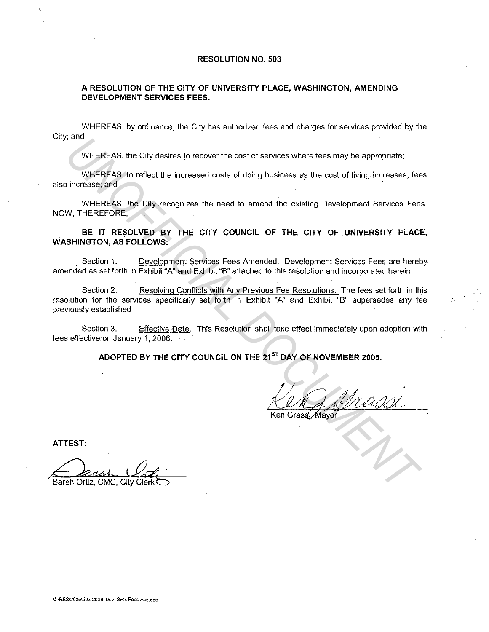#### **RESOLUTION NO. 503**

## **A RESOLUTION OF THE CITY OF UNIVERSITY PLACE, WASHINGTON, AMENDING DEVELOPMENT SERVICES FEES.**

WHEREAS, by ordinance, the City has authorized fees and charges for services provided by the City; and

WHEREAS, the City desires to recover the cost of services where fees may be appropriate;

WHEREAS, to reflect the increased costs of doing business as the cost of living increases, fees also increase; and

WHEREAS, the City recognizes the need to amend the existing Development Services Fees. NOW, THEREFORE,

**BE IT RESOLVED BY THE CITY COUNCIL OF THE CITY OF UNIVERSITY PLACE, WASHINGTON, AS FOLLOWS:** 

Section 1. Develooment Services Fees Amended. Development Services Fees are hereby amended as set forth in Exhibit "A" and Exhibit "B" attached to this resolution and incorporated herein.

Section 2. Resolving Conflicts with Any Previous Fee Resolutions. The fees set forth in this resolution for the services specifically set forth in Exhibit "A" and Exhibit "B" supersedes any fee previously established. **UNIFIERAS, the City desires to recover the cost of services where fees may be appropriate;**<br>
WHEREAS, to reflect the increased costs of doing business as the cost of living increases, fee<br>
UNIFICIALS, the City recognizes

Section 3. Effective Date. This Resolution shall take effect immediately upon adoption with fees effective on January 1, 2006.

ADOPTED BY THE CITY COUNCIL ON THE 21<sup>ST</sup> DAY OF NOVEMBER 2005.

**ATTEST:** 

Sarah Ortiz, CMC, Citv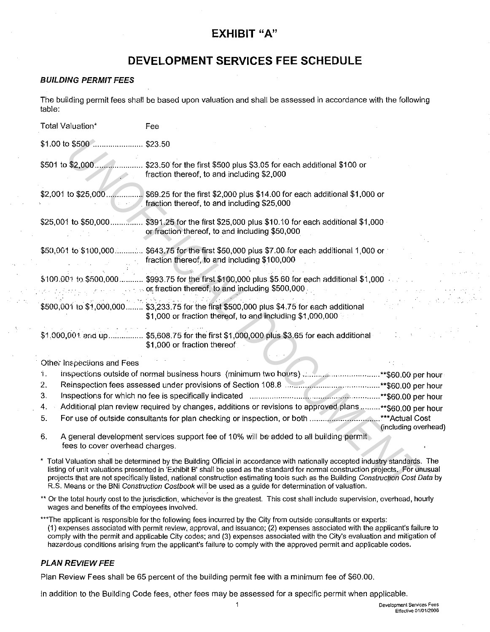# **EXHIBIT "A"**

# **DEVELOPMENT SERVICES FEE SCHEDULE**

# **BUILDING PERMIT FEES**

The building permit fees shall be based upon valuation and shall be assessed in accordance with the following table:

| Total Valuation*                      | Fee                                                                                                                                                                                                                                                                                                                                                                                                                                                                                                         |  |
|---------------------------------------|-------------------------------------------------------------------------------------------------------------------------------------------------------------------------------------------------------------------------------------------------------------------------------------------------------------------------------------------------------------------------------------------------------------------------------------------------------------------------------------------------------------|--|
| \$1.00 to \$500                       | \$23.50                                                                                                                                                                                                                                                                                                                                                                                                                                                                                                     |  |
| \$501 to \$2,000                      | \$23.50 for the first \$500 plus \$3.05 for each additional \$100 or<br>fraction thereof, to and including \$2,000                                                                                                                                                                                                                                                                                                                                                                                          |  |
|                                       | \$2,001 to \$25,000 \$69.25 for the first \$2,000 plus \$14.00 for each additional \$1,000 or<br>fraction thereof, to and including \$25,000                                                                                                                                                                                                                                                                                                                                                                |  |
|                                       | \$25,001 to \$50,000  \$391.25 for the first \$25,000 plus \$10.10 for each additional \$1,000 .<br>or fraction thereof, to and including \$50,000                                                                                                                                                                                                                                                                                                                                                          |  |
|                                       | \$50,001 to \$100,000 \$643.75 for the first \$50,000 plus \$7.00 for each additional 1,000 or<br>fraction thereof, to and including \$100,000                                                                                                                                                                                                                                                                                                                                                              |  |
|                                       | \$100.001 to \$500,000 \$993.75 for the first \$100,000 plus \$5.60 for each additional \$1,000.<br>or fraction thereof, to and including \$500,000.                                                                                                                                                                                                                                                                                                                                                        |  |
|                                       | \$500,001 to \$1,000,000 \$3,233.75 for the first \$500,000 plus \$4.75 for each additional<br>\$1,000 or fraction thereof, to and including \$1,000,000                                                                                                                                                                                                                                                                                                                                                    |  |
|                                       | \$1,000,001 and up \$5,608.75 for the first \$1,000,000 plus \$3.65 for each additional<br>\$1,000 or fraction thereof                                                                                                                                                                                                                                                                                                                                                                                      |  |
| Other Inspections and Fees            |                                                                                                                                                                                                                                                                                                                                                                                                                                                                                                             |  |
| Ϋ.                                    | inspections outside of normal business hours (minimum two hours) ** \$60.00 per hour                                                                                                                                                                                                                                                                                                                                                                                                                        |  |
| 2.                                    |                                                                                                                                                                                                                                                                                                                                                                                                                                                                                                             |  |
| 3 <sub>1</sub>                        |                                                                                                                                                                                                                                                                                                                                                                                                                                                                                                             |  |
| 4.                                    | Additional plan review required by changes, additions or revisions to approved plans**\$60,00 per hour                                                                                                                                                                                                                                                                                                                                                                                                      |  |
| 5.                                    | For use of outside consultants for plan checking or inspection, or both ***Actual Cost<br>(including overhead                                                                                                                                                                                                                                                                                                                                                                                               |  |
| 6.<br>fees to cover overhead charges. | A general development services support fee of 10% will be added to all building permit                                                                                                                                                                                                                                                                                                                                                                                                                      |  |
|                                       | * Total Valuation shall be determined by the Building Official in accordance with nationally accepted industry standards. The<br>listing of unit valuations presented in 'Exhibit B' shall be used as the standard for normal construction projects. For unusual<br>projects that are not specifically listed, national construction estimating tools such as the Building Construction Cost Data by<br>R.S. Means or the BNi Construction Costbook will be used as a guide for determination of valuation. |  |

| $\mathcal{L}$ | Inspections outside of normal business hours (minimum two hours) **\$60.00 per hour                        |                      |
|---------------|------------------------------------------------------------------------------------------------------------|----------------------|
| <sup>2.</sup> |                                                                                                            |                      |
| 3.            |                                                                                                            |                      |
|               | 4. Additional plan review required by changes, additions or revisions to approved plans **\$60.00 per hour |                      |
|               |                                                                                                            |                      |
|               |                                                                                                            | (including overhead) |

\*\* Or the total hourly cost to the jurisdiction, whichever is the greatest. This cost shall include supervision, overhead, hourly wages and benefits of the employees involved.

\*\*\*The applicant is responsible for the following fees incurred by the City from outside consultants or experts: (1) expenses associated with permit review, approval, and issuance; (2) expenses associated with the applicant's failure to comply with the permit and applicable City codes; and (3) expenses associated with the City's evaluation and mitigation of hazardous conditions arising from the applicant's failure to comply with the approved permit and applicable codes.

# **PLAN REVIEW FEE**

Plan Review Fees shall be 65 percent of the building permit fee with a minimum fee of \$60.00.

In addition to the Building Code fees, other fees may be assessed for a specific permit when applicable.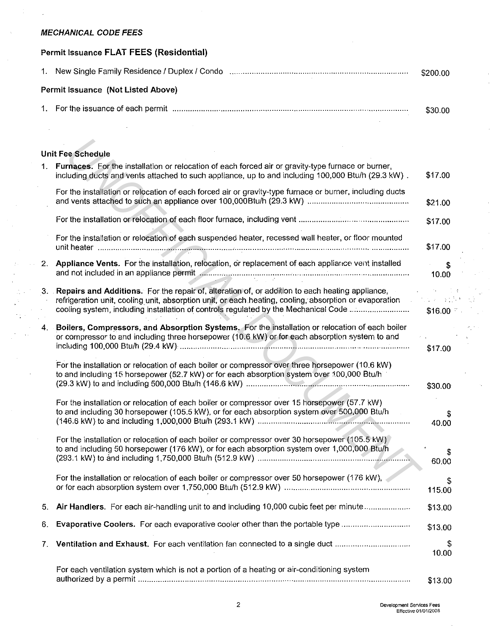# **MECHANICAL CODE FEES**

 $\mathcal{L}$ 

 $\lesssim$  . i)<br>V

# **Permit Issuance FLAT FEES (Residential)**

|                                           | \$200.00 |
|-------------------------------------------|----------|
| <b>Permit Issuance (Not Listed Above)</b> |          |
|                                           | \$30.00  |

# **Unit Fee Schedule**

|      | <b>Unit Fee Schedule</b>                                                                                                                                                                                                                                                                            |             |
|------|-----------------------------------------------------------------------------------------------------------------------------------------------------------------------------------------------------------------------------------------------------------------------------------------------------|-------------|
| 1.   | Furnaces. For the installation or relocation of each forced air or gravity-type furnace or burner,<br>including ducts and vents attached to such appliance, up to and including 100,000 Btu/h (29.3 kW).                                                                                            | \$17.00     |
|      | For the installation or relocation of each forced air or gravity-type furnace or burner, including ducts                                                                                                                                                                                            | \$21.00     |
|      |                                                                                                                                                                                                                                                                                                     | \$17.00     |
|      | For the installation or relocation of each suspended heater, recessed wall heater, or floor mounted                                                                                                                                                                                                 | \$17.00     |
| 2.   | Appliance Vents. For the installation, relocation, or replacement of each appliance vent installed                                                                                                                                                                                                  | \$<br>10.00 |
|      | 3. Repairs and Additions. For the repair of, alteration of, or addition to each heating appliance,<br>refrigeration unit, cooling unit, absorption unit, or each heating, cooling, absorption or evaporation<br>cooling system, including installation of controls regulated by the Mechanical Code | \$16.00     |
| 4. . | Boilers, Compressors, and Absorption Systems. For the installation or relocation of each boiler<br>or compressor to and including three horsepower (10.6 kW) or for each absorption system to and                                                                                                   | \$17.00     |
|      | For the installation or relocation of each boiler or compressor over three horsepower (10.6 kW)<br>to and including 15 horsepower (52.7 kW) or for each absorption system over 100,000 Btu/h                                                                                                        | \$30.00     |
|      | For the installation or relocation of each boiler or compressor over 15 horsepower (57.7 kW)<br>to and including 30 horsepower (105.5 kW), or for each absorption system over 500,000 Btu/h                                                                                                         | 40.00       |
|      | For the installation or relocation of each boiler or compressor over 30 horsepower (105.5 kW)<br>to and including 50 horsepower (176 kW), or for each absorption system over 1,000,000 Btu/h                                                                                                        | 60.00       |
|      | For the installation or relocation of each boiler or compressor over 50 horsepower (176 kW),                                                                                                                                                                                                        | 115.00      |
| 5.   | Air Handlers. For each air-handling unit to and including 10,000 cubic feet per minute                                                                                                                                                                                                              | \$13.00     |
| 6.   | Evaporative Coolers. For each evaporative cooler other than the portable type                                                                                                                                                                                                                       | \$13.00     |
| 7.   | Ventilation and Exhaust. For each ventilation fan connected to a single duct                                                                                                                                                                                                                        | \$<br>10.00 |
|      | For each ventilation system which is not a portion of a heating or air-conditioning system                                                                                                                                                                                                          | \$13.00     |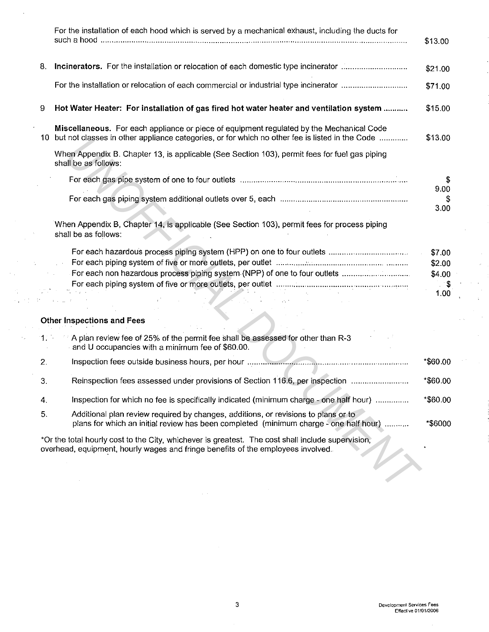|     | For the installation of each hood which is served by a mechanical exhaust, including the ducts for                                                                                         | \$13.00            |
|-----|--------------------------------------------------------------------------------------------------------------------------------------------------------------------------------------------|--------------------|
| 8.  | Incinerators. For the installation or relocation of each domestic type incinerator                                                                                                         | \$21.00            |
|     | For the installation or relocation of each commercial or industrial type incinerator                                                                                                       | \$71.00            |
| 9   | Hot Water Heater: For installation of gas fired hot water heater and ventilation system                                                                                                    | \$15.00            |
| 10  | Miscellaneous. For each appliance or piece of equipment regulated by the Mechanical Code<br>but not classes in other appliance categories, or for which no other fee is listed in the Code | \$13.00            |
|     | When Appendix B. Chapter 13, is applicable (See Section 103), permit fees for fuel gas piping<br>shall be as follows:                                                                      |                    |
|     |                                                                                                                                                                                            | S.                 |
|     |                                                                                                                                                                                            | 9.00<br>S.<br>3.00 |
|     | When Appendix B, Chapter 14, is applicable (See Section 103), permit fees for process piping<br>shall be as follows:                                                                       |                    |
|     |                                                                                                                                                                                            | \$7.00             |
|     |                                                                                                                                                                                            | \$2.00             |
|     |                                                                                                                                                                                            | \$4.00             |
|     |                                                                                                                                                                                            | \$<br>1.00         |
|     |                                                                                                                                                                                            |                    |
|     | <b>Other Inspections and Fees</b>                                                                                                                                                          |                    |
| 11. | A plan review fee of 25% of the permit fee shall be assessed for other than R-3<br>and U occupancies with a minimum fee of \$60.00.                                                        |                    |
| 2.  |                                                                                                                                                                                            | *\$60.00           |
|     | Reinspection fees assessed under provisions of Section 116.6, per inspection                                                                                                               | *\$60.00           |
| 4.  | Inspection for which no fee is specifically indicated (minimum charge - one half hour)                                                                                                     | *\$60.00           |
| 5.  | Additional plan review required by changes, additions, or revisions to plans or to<br>plans for which an initial review has been completed (minimum charge - one half hour)                | *\$6000            |
|     | *Or the total hourly cost to the City, whichever is greatest. The cost shall include supervision,<br>overhead, equipment, hourly wages and fringe benefits of the employees involved.      |                    |
|     |                                                                                                                                                                                            |                    |

 $\ddot{\phantom{a}}$ 

 $\sim$ 

 $\sim 10^{-1}$  .  $\mathcal{L}^{\text{max}}$  $\sim$   $_{\rm g}$ 

 $\mathcal{L}_{\mathcal{A}}$ 

 $\hat{\boldsymbol{\beta}}$ 

 $\bar{\bar{z}}$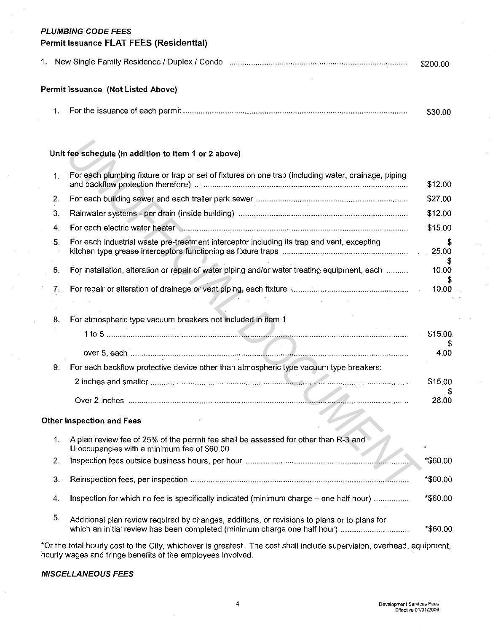#### **PLUMBING CODE FEES**

# **Permit Issuance FLAT FEES (Residential)**

|  |  |  | \$200.00 |
|--|--|--|----------|
|--|--|--|----------|

## **Permit Issuance (Not Listed Above)**

|  | \$30.00 |
|--|---------|
|  |         |

# **Unit fee schedule (In addition to item 1 or 2 above)**

|                | Unit fee schedule (in addition to item 1 or 2 above)                                                                                |             |
|----------------|-------------------------------------------------------------------------------------------------------------------------------------|-------------|
| 1 <sub>1</sub> | For each plumbing fixture or trap or set of fixtures on one trap (including water, drainage, piping                                 | \$12.00     |
| 2.             |                                                                                                                                     | \$27.00     |
| 3.             |                                                                                                                                     | \$12.00     |
| 4.             |                                                                                                                                     | \$15.00     |
| 5.             | For each industrial waste pre-treatment interceptor including its trap and vent, excepting                                          | £.<br>25.00 |
| 6.             | For installation, alteration or repair of water piping and/or water treating equipment, each                                        | 10.00       |
| 7.             |                                                                                                                                     | 10.00       |
| 8.             | For atmospheric type vacuum breakers not included in item 1                                                                         |             |
|                |                                                                                                                                     | \$15.00     |
|                |                                                                                                                                     | 4.00        |
| 9.             | For each backflow protective device other than atmospheric type vacuum type breakers:                                               |             |
|                |                                                                                                                                     | \$15,00     |
|                |                                                                                                                                     | 28.00       |
|                | her Inspection and Fees                                                                                                             |             |
| $\mathbf{1}$ . | A plan review fee of 25% of the permit fee shall be assessed for other than R-3 and<br>U occupancies with a minimum fee of \$60.00. |             |
| 2.             |                                                                                                                                     | *\$60.00    |
| 3.1            |                                                                                                                                     | *\$60.00    |

# 8. For atmospheric type vacuum breakers not included in item 1

|     | 1 to 5 .                                                                              | \$15.00 |
|-----|---------------------------------------------------------------------------------------|---------|
|     |                                                                                       | 4 OO    |
| -9. | For each backflow protective device other than atmospheric type vacuum type breakers: |         |
|     |                                                                                       | \$15.00 |
|     |                                                                                       | 28.00   |
|     | her Inspection and Fees                                                               |         |

#### **Other Inspection and Fees**

|                | A plan review fee of 25% of the permit fee shall be assessed for other than R-3 and<br>U occupancies with a minimum fee of \$60.00.                                       |          |
|----------------|---------------------------------------------------------------------------------------------------------------------------------------------------------------------------|----------|
|                |                                                                                                                                                                           | *\$60.00 |
| 3 <sub>1</sub> |                                                                                                                                                                           | *\$60.00 |
| 4.             | Inspection for which no fee is specifically indicated (minimum charge – one half hour)                                                                                    | *\$60.00 |
| -5.            | Additional plan review required by changes, additions, or revisions to plans or to plans for<br>which an initial review has been completed (minimum charge one half hour) | *\$60.00 |

\*Or the total hourly cost to the City, whichever is greatest. The cost shall include supervision, overhead, equipment, hourly wages and fringe benefits of the employees involved.

#### **MISCELLANEOUS FEES**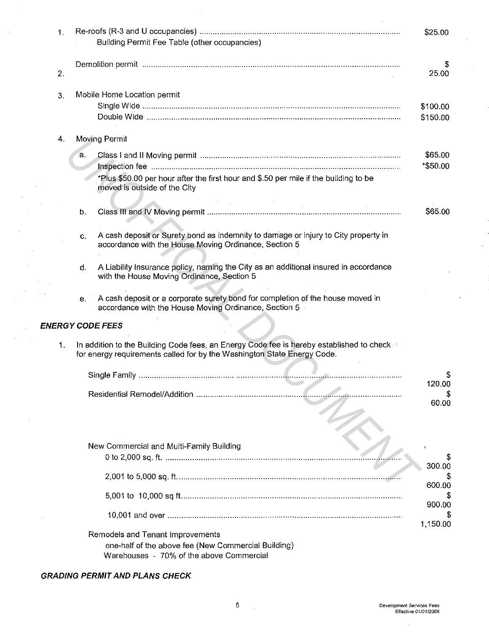| 1. |                                                                                                                                                                     | \$25.00              |
|----|---------------------------------------------------------------------------------------------------------------------------------------------------------------------|----------------------|
|    | Building Permit Fee Table (other occupancies)                                                                                                                       |                      |
|    |                                                                                                                                                                     |                      |
| 2. |                                                                                                                                                                     | 25.00                |
|    |                                                                                                                                                                     |                      |
| 3. | Mobile Home Location permit                                                                                                                                         |                      |
|    |                                                                                                                                                                     | \$100.00<br>\$150.00 |
|    |                                                                                                                                                                     |                      |
| 4. | Moving Permit                                                                                                                                                       |                      |
|    | a.                                                                                                                                                                  | \$65.00              |
|    |                                                                                                                                                                     | *\$50.00             |
|    | *Plus \$50.00 per hour after the first hour and \$.50 per mile if the building to be<br>moved is outside of the City                                                |                      |
|    |                                                                                                                                                                     |                      |
|    | b.                                                                                                                                                                  | \$65.00              |
|    |                                                                                                                                                                     |                      |
|    | A cash deposit or Surety bond as indemnity to damage or injury to City property in<br>C.<br>accordance with the House Moving Ordinance, Section 5                   |                      |
|    |                                                                                                                                                                     |                      |
|    | A Liability Insurance policy, naming the City as an additional insured in accordance<br>d.                                                                          |                      |
|    | with the House Moving Ordinance, Section 5                                                                                                                          |                      |
|    | A cash deposit or a corporate surety bond for completion of the house moved in<br>е.<br>accordance with the House Moving Ordinance, Section 5                       |                      |
|    | <b>ENERGY CODE FEES</b>                                                                                                                                             |                      |
|    |                                                                                                                                                                     |                      |
| 1. | In addition to the Building Code fees, an Energy Code fee is hereby established to check<br>for energy requirements called for by the Washington State Energy Code. |                      |
|    |                                                                                                                                                                     |                      |
|    |                                                                                                                                                                     | 120.00               |
|    |                                                                                                                                                                     | 60.00                |
|    |                                                                                                                                                                     |                      |
|    |                                                                                                                                                                     |                      |
|    |                                                                                                                                                                     |                      |
|    | New Commercial and Multi-Family Building                                                                                                                            |                      |
|    |                                                                                                                                                                     | 300.00               |
|    |                                                                                                                                                                     | 600.00               |
|    |                                                                                                                                                                     |                      |
|    |                                                                                                                                                                     | 900.00               |
|    |                                                                                                                                                                     | 1,150.00             |
|    | Remodels and Tenant Improvements                                                                                                                                    |                      |
|    | one-half of the above fee (New Commercial Building)<br>Warehouses - 70% of the above Commercial                                                                     |                      |
|    |                                                                                                                                                                     |                      |

# **GRADING PERMIT AND PLANS CHECK**

 $\sim 10^6$ 

l,

 $\sim 10$ l,

 $\sim$ 

 $\frac{1}{\sqrt{2}}$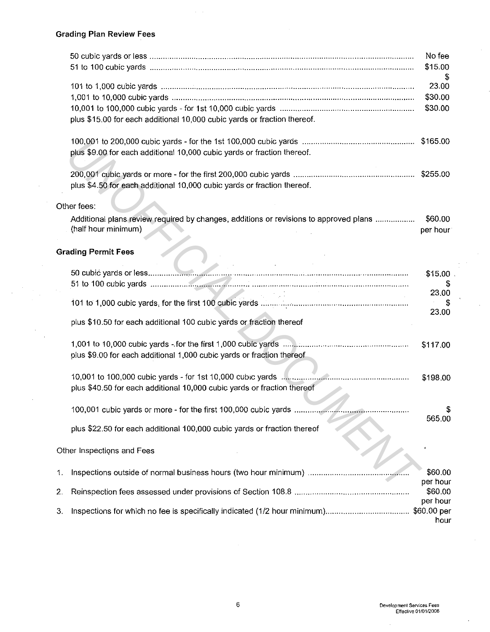$\bar{z}$ 

l,

 $\bar{\beta}$ 

|    |                                                                                                                                       | No fee<br>\$15.00           |
|----|---------------------------------------------------------------------------------------------------------------------------------------|-----------------------------|
|    | plus \$15.00 for each additional 10,000 cubic yards or fraction thereof.                                                              | 23.00<br>\$30.00<br>\$30.00 |
|    | plus \$9.00 for each additional 10,000 cubic yards or fraction thereof.                                                               |                             |
|    | plus \$4.50 for each additional 10,000 cubic yards or fraction thereof.                                                               |                             |
|    | Other fees:                                                                                                                           |                             |
|    | Additional plans review required by changes, additions or revisions to approved plans<br>(half hour minimum)                          | \$60.00<br>per hour         |
|    | <b>Grading Permit Fees</b>                                                                                                            |                             |
|    |                                                                                                                                       | \$15.00                     |
|    |                                                                                                                                       | 23.00                       |
|    |                                                                                                                                       | 23,00                       |
|    | plus \$10.50 for each additional 100 cubic yards or fraction thereof                                                                  |                             |
|    | plus \$9.00 for each additional 1,000 cubic yards or fraction thereof.                                                                | \$117.00                    |
|    | 10,001 to 100,000 cubic yards - for 1st 10,000 cubic yards<br>plus \$40.50 for each additional 10,000 cubic yards or fraction thereof | \$198.00                    |
|    | 100,001 cubic yards or more - for the first 100,000 cubic yards                                                                       | Ъ.<br>565.00                |
|    | plus \$22.50 for each additional 100,000 cubic yards or fraction thereof                                                              |                             |
|    | Other Inspections and Fees                                                                                                            |                             |
| 1. |                                                                                                                                       | \$60.00<br>per hour         |
| 2. |                                                                                                                                       | \$60.00<br>per hour         |
| 3. |                                                                                                                                       | \$60.00 per<br>hour         |

 $\bar{\beta}$ 

 $\zeta$ 

 $\hat{\mathcal{L}}$ 

 $\ddot{\phantom{a}}$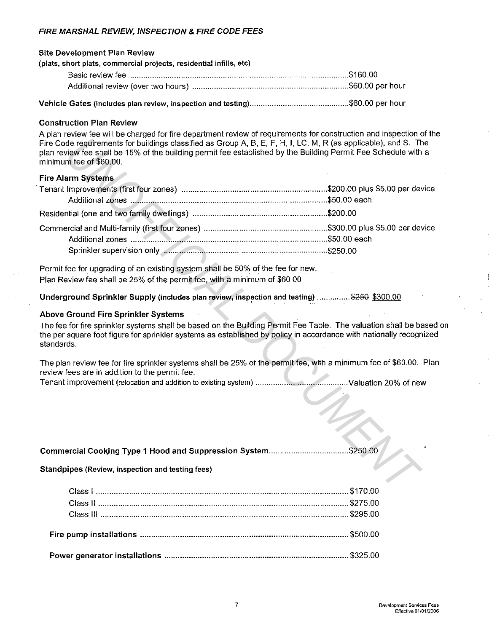# FIRE MARSHAL REVIEW, INSPECTION & FIRE CODE FEES

| <b>Site Development Plan Review</b>                                 |  |
|---------------------------------------------------------------------|--|
| (plats, short plats, commercial projects, residential infills, etc) |  |
|                                                                     |  |
|                                                                     |  |
|                                                                     |  |

Vehicle Gates (includes plan review, inspection and testing) ............................................ \$60.00 per hour

## Construction Plan Review

A plan review fee will be charged for fire department review of requirements for construction and inspection of the Fire Code requirements for buildings classified as Group A, B, E, F, H, I, LC, M, R (as applicable), and S. The plan review fee shall be 15% of the building permit fee established by the Building Permit Fee Schedule with a minimum fee of \$60.00.

#### Fire Alarm Systems

| Fire Code requirements for buildings classified as Group A, B, E, F, H, I, LC, M, R (as applicable), and S. The<br>plan review fee shall be 15% of the building permit fee established by the Building Permit Fee Schedule with a<br>minimum fee of \$60.00.                                |          |
|---------------------------------------------------------------------------------------------------------------------------------------------------------------------------------------------------------------------------------------------------------------------------------------------|----------|
| <b>Fire Alarm Systems</b>                                                                                                                                                                                                                                                                   |          |
|                                                                                                                                                                                                                                                                                             |          |
|                                                                                                                                                                                                                                                                                             |          |
| Permit fee for upgrading of an existing system shall be 50% of the fee for new.<br>Plan Review fee shall be 25% of the permit fee, with a minimum of \$60 00                                                                                                                                |          |
| Underground Sprinkler Supply (includes plan review, inspection and testing) \$250 \$300.00                                                                                                                                                                                                  |          |
| Above Ground Fire Sprinkler Systems<br>The fee for fire sprinkler systems shall be based on the Building Permit Fee Table. The valuation shall be based<br>the per square foot figure for sprinkler systems as established by policy in accordance with nationally recognized<br>standards. |          |
| The plan review fee for fire sprinkler systems shall be 25% of the permit fee, with a minimum fee of \$60.00. Plan<br>review fees are in addition to the permit fee.                                                                                                                        |          |
| Commercial Cooking Type 1 Hood and Suppression System<br>Standpipes (Review, inspection and testing fees)                                                                                                                                                                                   | \$250.00 |
| Class I                                                                                                                                                                                                                                                                                     | \$170.00 |
|                                                                                                                                                                                                                                                                                             |          |

## Above Ground Fire Sprinkler Systems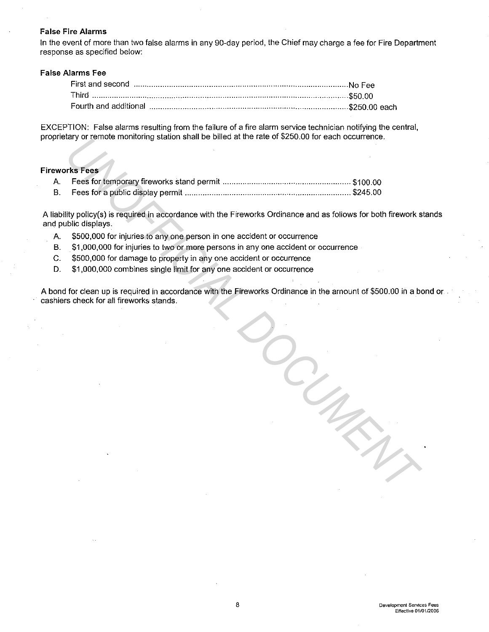#### **False Fire Alarms**

In the event of more than two false alarms in any 90-day period, the Chief may charge a fee for Fire Department response as specified below:

#### **False Alarms Fee**

| Fourth and additional manufactured and anti- |  |
|----------------------------------------------|--|

EXCEPTION: False alarms resulting from the failure of a fire alarm service technician notifying the central, proprietary or remote monitoring station shall be billed at the rate of \$250.00 for each occurrence.

#### **Fireworks Fees**

|    | prietary or ferriote monitoring station shall be billed at the rate of \$250,00 for each occurrence.                               |
|----|------------------------------------------------------------------------------------------------------------------------------------|
|    |                                                                                                                                    |
|    | eworks Fees                                                                                                                        |
| Α. |                                                                                                                                    |
| В. |                                                                                                                                    |
|    | iability policy(s) is required in accordance with the Fireworks Ordinance and as follows for both firework s<br>d public displays. |
| Α. | \$500,000 for injuries to any one person in one accident or occurrence                                                             |
| В. | \$1,000,000 for injuries to two or more persons in any one accident or occurrence                                                  |
| С. | \$500,000 for damage to property in any one accident or occurrence                                                                 |
| D. | \$1,000,000 combines single limit for any one accident or occurrence                                                               |
|    | ond for clean up is required in accordance with the Fireworks Ordinance in the amount of \$500.00 in a be                          |
|    | hiers check for all fireworks stands.                                                                                              |
|    |                                                                                                                                    |
|    |                                                                                                                                    |

A liability policy(s) is required in accordance with the Fireworks Ordinance and as follows for both firework stands and public displays.

- A. \$500,000 for injuries to any one person in one accident or occurrence
- B. \$1,000,000 for injuries to two or more persons in any one accident or occurrence
- C. \$500,000 for damage to property in any one accident or occurrence
- D. \$1,000,000 combines single limit for any one accident or occurrence

A bond for clean up is required in accordance with the Fireworks Ordinance in the amount of \$500.00 in a bond or . cashiers check for all fireworks stands.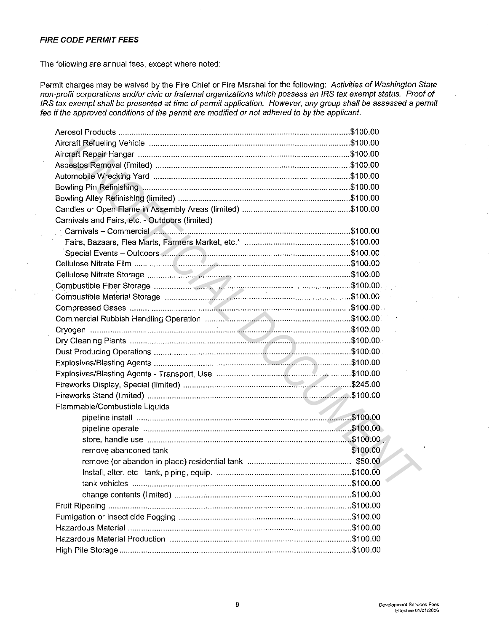## **FIRE CODE PERMIT FEES**

The following are annual fees, except where noted:

Permit charges may be waived by the Fire Chief or Fire Marshal for the following: Activities of Washington State non-profit corporations and/or civic or fraternal organizations which possess an IRS tax exempt status. Proof of IRS tax exempt shall be presented at time of permit application. However, any group shall be assessed a permit fee if the approved conditions of the permit are modified or not adhered to by the applicant.

| Carnivals and Fairs, etc. - Outdoors (limited) |          |
|------------------------------------------------|----------|
|                                                |          |
|                                                |          |
|                                                |          |
|                                                |          |
|                                                |          |
|                                                |          |
|                                                |          |
|                                                |          |
|                                                |          |
|                                                |          |
|                                                |          |
|                                                |          |
|                                                |          |
|                                                |          |
|                                                |          |
|                                                |          |
| Flammable/Combustible Liquids                  |          |
|                                                |          |
|                                                |          |
|                                                |          |
| remove abandoned tank                          | \$100.00 |
|                                                |          |
|                                                |          |
|                                                |          |
|                                                |          |
|                                                |          |
|                                                |          |
|                                                |          |
|                                                |          |
|                                                |          |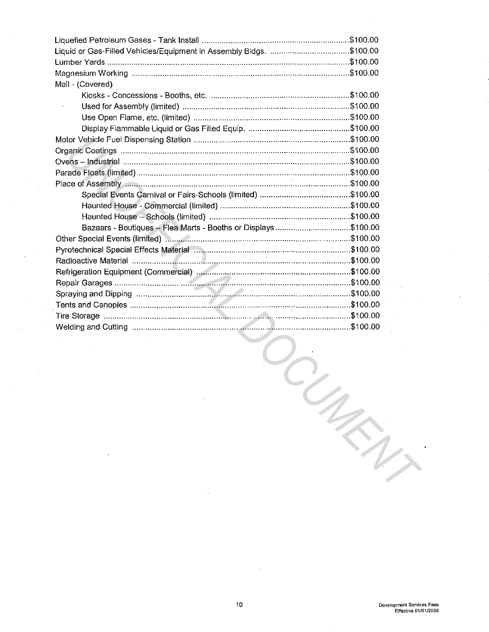| Liquid or Gas-Filled Vehicles/Equipment in Assembly Bldgs. \$100.00         |  |
|-----------------------------------------------------------------------------|--|
|                                                                             |  |
|                                                                             |  |
| Mall - (Covered)                                                            |  |
|                                                                             |  |
|                                                                             |  |
|                                                                             |  |
|                                                                             |  |
|                                                                             |  |
|                                                                             |  |
|                                                                             |  |
|                                                                             |  |
|                                                                             |  |
|                                                                             |  |
|                                                                             |  |
|                                                                             |  |
| Bazaars - Boutiques - Flea Marts - Booths or Displays\$100.00               |  |
|                                                                             |  |
| Pyrotechnical Special Effects Material manufacture content content \$100.00 |  |
|                                                                             |  |
|                                                                             |  |
|                                                                             |  |
|                                                                             |  |
|                                                                             |  |
|                                                                             |  |
|                                                                             |  |

 $\bar{\beta}$ 

 $\overline{a}$ 

l,

 $\ddot{\phantom{a}}$ 

Ļ,

 $\dot{\zeta}$ 

 $\hat{\boldsymbol{\beta}}$ 

S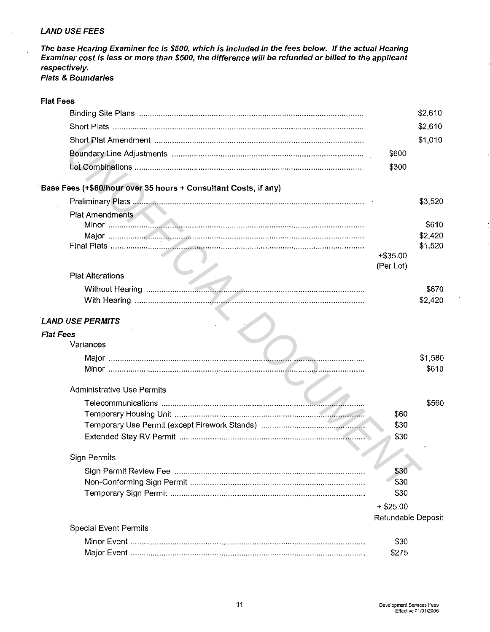## LAND USE FEES

The base Hearing Examiner fee is \$500, which is included in the fees below. If the actual Hearing Examiner cost is less or more than \$500, the difference will be refunded or billed *to* the applicant respectively. Plats & Boundaries

| <b>Flat Fees</b>                                                |                    |                    |
|-----------------------------------------------------------------|--------------------|--------------------|
|                                                                 |                    | \$2,610            |
|                                                                 |                    | \$2,610            |
|                                                                 |                    | \$1,010            |
|                                                                 | \$600              |                    |
|                                                                 | \$300              |                    |
|                                                                 |                    |                    |
| Base Fees (+\$60/hour over 35 hours + Consultant Costs, if any) |                    |                    |
|                                                                 |                    | \$3,520            |
| <b>Plat Amendments</b>                                          |                    |                    |
|                                                                 |                    | \$610              |
|                                                                 |                    | \$2,420<br>\$1,520 |
|                                                                 | $+ $35.00$         |                    |
|                                                                 | (Per Lot)          |                    |
| <b>Plat Alterations</b>                                         |                    |                    |
|                                                                 |                    | \$670              |
|                                                                 |                    | \$2,420            |
|                                                                 |                    |                    |
| <b>LAND USE PERMITS</b>                                         |                    |                    |
| <b>Flat Fees</b>                                                |                    |                    |
| Variances                                                       |                    |                    |
|                                                                 |                    | \$1,580            |
|                                                                 |                    | \$610              |
|                                                                 |                    |                    |
| <b>Administrative Use Permits</b>                               |                    |                    |
|                                                                 |                    | \$560              |
|                                                                 | \$60               |                    |
|                                                                 | \$30               |                    |
|                                                                 | \$30               |                    |
| Sign Permits                                                    |                    |                    |
|                                                                 | \$30               |                    |
|                                                                 | \$30               |                    |
|                                                                 | \$30               |                    |
|                                                                 | $+$ \$25.00        |                    |
|                                                                 | Refundable Deposit |                    |
| <b>Special Event Permits</b>                                    |                    |                    |
|                                                                 | \$30               |                    |
|                                                                 | \$275              |                    |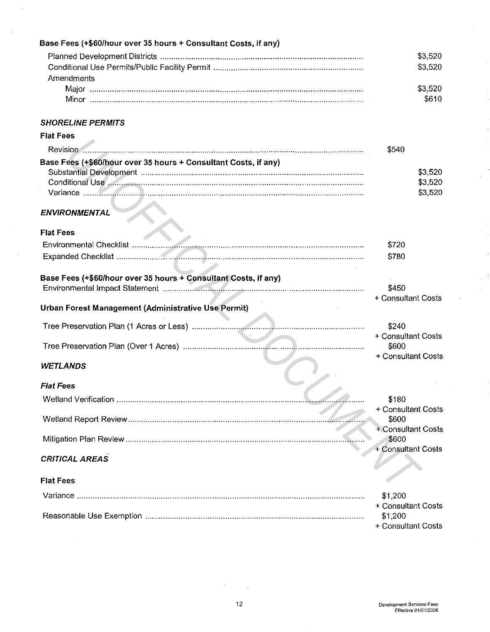| Base Fees (+\$60/hour over 35 hours + Consultant Costs, if any) |                             |
|-----------------------------------------------------------------|-----------------------------|
|                                                                 | \$3,520                     |
|                                                                 | \$3,520                     |
| Amendments                                                      |                             |
|                                                                 | \$3,520                     |
|                                                                 | \$610                       |
|                                                                 |                             |
| <b>SHORELINE PERMITS</b>                                        |                             |
| <b>Flat Fees</b>                                                |                             |
|                                                                 | \$540                       |
| Base Fees (+\$60/hour over 35 hours + Consultant Costs, if any) |                             |
|                                                                 | \$3,520                     |
|                                                                 | \$3,520                     |
|                                                                 | \$3,520                     |
|                                                                 |                             |
| <b>ENVIRONMENTAL</b>                                            |                             |
| <b>Flat Fees</b>                                                |                             |
|                                                                 | \$720                       |
|                                                                 | \$780                       |
|                                                                 |                             |
| Base Fees (+\$60/hour over 35 hours + Consultant Costs, if any) |                             |
|                                                                 | \$450                       |
|                                                                 | + Consultant Costs          |
| Urban Forest Management (Administrative Use Permit)             |                             |
|                                                                 | \$240                       |
|                                                                 | + Consultant Costs          |
|                                                                 | \$600                       |
|                                                                 | + Consultant Costs          |
| <b>WETLANDS</b>                                                 |                             |
| <b>Flat Fees</b>                                                |                             |
|                                                                 |                             |
|                                                                 | \$180<br>+ Consultant Costs |
|                                                                 | \$600                       |
|                                                                 | + Consultant Costs          |
|                                                                 | \$600                       |
|                                                                 | + Consultant Costs          |
| <b>CRITICAL AREAS</b>                                           |                             |
|                                                                 |                             |
| <b>Flat Fees</b>                                                |                             |
|                                                                 | \$1,200                     |
|                                                                 | + Consultant Costs          |
|                                                                 | \$1,200                     |
|                                                                 | + Consultant Costs          |

 $\overline{\phantom{a}}$ 

 $\sim$ 

J

 $\hat{\mathcal{L}}$ 

 $\ddot{\phantom{0}}$ 

 $\sim$   $\sim$ 

 $\sim$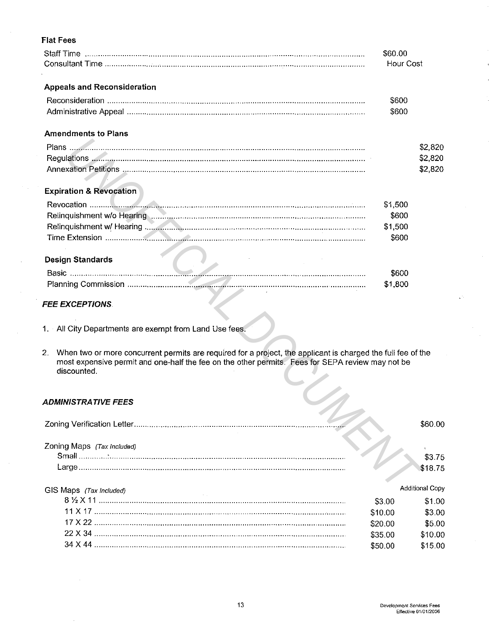# **Flat Fees**

|                                                                                           | \$60.00<br>Hour Cost |         |
|-------------------------------------------------------------------------------------------|----------------------|---------|
| <b>Appeals and Reconsideration</b>                                                        |                      |         |
|                                                                                           | \$600                |         |
|                                                                                           | \$600                |         |
| <b>Amendments to Plans</b>                                                                |                      |         |
|                                                                                           |                      | \$2,820 |
|                                                                                           |                      | \$2,820 |
|                                                                                           |                      | \$2,820 |
| <b>Expiration &amp; Revocation</b>                                                        |                      |         |
|                                                                                           | \$1,500              |         |
|                                                                                           | \$600                |         |
|                                                                                           | \$1,500              |         |
|                                                                                           | \$600                |         |
| <b>Design Standards</b>                                                                   |                      |         |
|                                                                                           | \$600                |         |
| the company of the company of the company of the company of the company of the company of | \$1,800              |         |

# **FEE EXCEPTIONS.**

- 1. All City Departments are exempt from Land Use fees.
- 2. When two or more concurrent permits are required for a project, the applicant is charged the full fee of the most expensive permit and one-half the fee on the other permits. Fees for SEPA review may not be discounted. z.

# **ADMINISTRATIVE FEES**

| <i><b>ADMINISTRATIVE FEES</b></i> |         |                        |
|-----------------------------------|---------|------------------------|
|                                   |         | \$60.00                |
| Zoning Maps (Tax Included)        |         | \$3.75                 |
|                                   |         | \$18.75                |
| GIS Maps (Tax Included)           |         | <b>Additional Copy</b> |
|                                   | \$3.00  | \$1.00                 |
|                                   | \$10.00 | \$3.00                 |
|                                   | \$20.00 | \$5.00                 |
|                                   | \$35.00 | \$10.00                |
|                                   | \$50.00 | \$15.00                |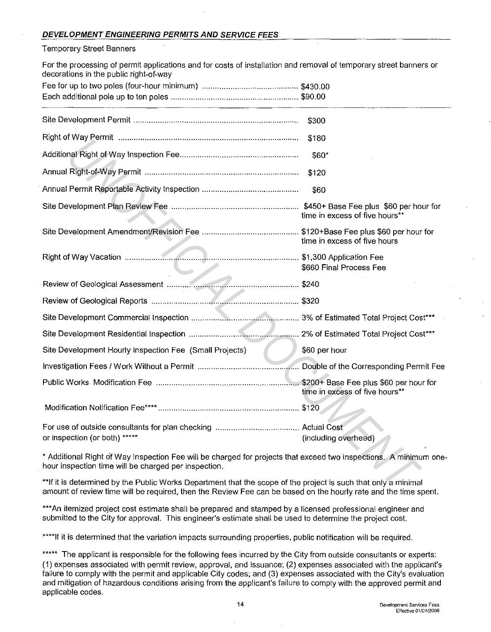#### Temporary Street Banners

For the processing of permit applications and for costs of installation and removal of temporary street banners or decorations in the public right-of-way

|                                                                                                                                                                                                                                  | \$300                          |
|----------------------------------------------------------------------------------------------------------------------------------------------------------------------------------------------------------------------------------|--------------------------------|
|                                                                                                                                                                                                                                  | \$180                          |
|                                                                                                                                                                                                                                  | \$60*                          |
|                                                                                                                                                                                                                                  | \$120                          |
|                                                                                                                                                                                                                                  | \$60                           |
|                                                                                                                                                                                                                                  | time in excess of five hours** |
|                                                                                                                                                                                                                                  | time in excess of five hours   |
|                                                                                                                                                                                                                                  | \$660 Final Process Fee        |
|                                                                                                                                                                                                                                  |                                |
|                                                                                                                                                                                                                                  |                                |
|                                                                                                                                                                                                                                  |                                |
|                                                                                                                                                                                                                                  |                                |
| Site Development Hourly Inspection Fee (Small Projects)                                                                                                                                                                          | \$60 per hour                  |
|                                                                                                                                                                                                                                  |                                |
|                                                                                                                                                                                                                                  | time in excess of five hours** |
|                                                                                                                                                                                                                                  |                                |
| or inspection (or both) *****                                                                                                                                                                                                    | (including overhead)           |
| * Additional Right of Way Inspection Fee will be charged for projects that exceed two inspections. A minimum one-<br>hour inspection time will be charged per inspection.                                                        |                                |
| **If it is determined by the Public Works Department that the scope of the project is such that only a minimal<br>amount of review time will be required, then the Review Eee can be based on the bourly rate and the time spent |                                |

\*\*If it is determined by the Public Works Department that the scope of the project is such that only a minimal amount of review time will be required, then the Review Fee can be based on the hourly rate and the time spent.

\*\*\*An itemized project cost estimate shall be prepared and stamped by a licensed professional engineer and submitted to the City for approval. This engineer's estimate shall be used to determine the project cost.

\*\*\*\*If it is determined that the variation impacts surrounding properties, public notification will be required.

\*\*\*\*\* The applicant is responsible for the following fees incurred by the City from outside consultants or experts: (1) expenses associated with permit review, approval, and issuance; (2) expenses associated with the applicant's failure to comply with the permit and applicable City codes; and (3) expenses associated with the City's evaluation and mitigation of hazardous conditions arising from the applicant's failure to comply with the approved permit and applicable codes.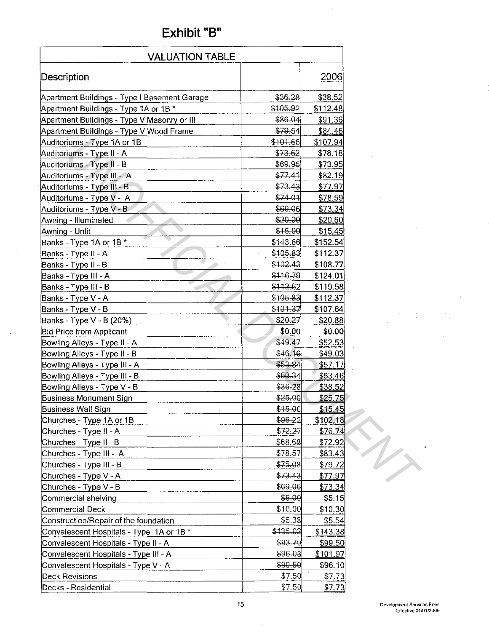# Exhibit "B"

| <b>VALUATION TABLE</b>                       |          |                 |  |  |  |
|----------------------------------------------|----------|-----------------|--|--|--|
| Description                                  |          | 2006            |  |  |  |
| Apartment Buildings - Type I Basement Garage | \$36,28  | \$38.52         |  |  |  |
| Apartment Buildings - Type 1A or 1B *        | \$105.92 | \$112.48        |  |  |  |
| Apartment Buildings - Type V Masonry or III  | \$86.04  | \$91.36         |  |  |  |
| Apartment Buildings - Type V Wood Frame      | \$79.54  | \$84.46         |  |  |  |
| Auditoriums - Type 1A or 1B                  | \$101.66 | \$107.94]       |  |  |  |
| Auditoriums - Type II - A                    | \$73.62  | \$78.18         |  |  |  |
| Auditoriums - Type II - B                    | \$69.95  | \$73.95         |  |  |  |
| Auditoriums - Type III - A                   | \$77.41  | \$82.19         |  |  |  |
| Auditoriums - Type III - B                   | \$73.43  | \$77.97         |  |  |  |
| Auditoriums - Type V - A                     | \$74.01  | \$78.59         |  |  |  |
| Auditoriums - Type V - B                     | \$69.06  | \$73.34         |  |  |  |
| Awning - Illuminated                         | \$20.00  | \$20,60         |  |  |  |
| Awning - Unlit                               | \$15.00  | \$15.45         |  |  |  |
| Banks - Type 1A or 1B *                      | \$143.66 | \$152.54        |  |  |  |
| Banks - Type II - A                          | \$105.83 | \$112.37        |  |  |  |
| Banks - Type II - B                          | \$102.43 | \$108.77        |  |  |  |
| Banks - Type III - A                         | \$116.79 | \$124.01        |  |  |  |
| Banks - Type III - B                         | \$112.62 | \$119.58        |  |  |  |
| Banks - Type V - A                           | \$105.83 | \$112.37        |  |  |  |
| Banks - Type V - B                           | \$101.37 | \$107.64        |  |  |  |
| Banks - Type V - B (20%)                     | \$20.27  | \$20.88         |  |  |  |
| <b>Bid Price from Applicant</b>              | \$0.00   | \$0.00]         |  |  |  |
| Bowling Alleys - Type II - A                 | \$49.47  | \$52.53         |  |  |  |
| Bowling Alleys - Type II - B                 | \$46.16  | \$49.03         |  |  |  |
| Bowling Alleys - Type III - A                | \$53.84  | \$57.17         |  |  |  |
| Bowling Alleys - Type III - B                | \$50.34  | \$53.46         |  |  |  |
| Bowling Alleys - Type V - B                  | \$36.28  | \$38.52         |  |  |  |
| <b>Business Monument Sign</b>                | \$25.00  | \$25.75         |  |  |  |
| <b>Business Wall Sign</b>                    | \$15.00  | \$15.45         |  |  |  |
| Churches - Type 1A or 1B                     | \$96.22  | \$102.18        |  |  |  |
| Churches - Type II - A                       | \$72.27  | \$76.74         |  |  |  |
| Churches - Type II - B                       | \$68.68  | \$72.92         |  |  |  |
| Churches - Type III - A                      | \$78.57  | \$83.43         |  |  |  |
| Churches - Type III - B                      | \$75.08  | \$79.72         |  |  |  |
| Churches - Type V - A                        | \$73.43  | \$77.97         |  |  |  |
| Churches - Type V - B                        | \$69.06  | \$73.34         |  |  |  |
| Commercial shelving                          | \$5.00   | \$5.15          |  |  |  |
| Commercial Deck                              | \$10.00  | \$10.30         |  |  |  |
| Construction/Repair of the foundation        | \$5.38   | \$5.54          |  |  |  |
| Convalescent Hospitals - Type 1A or 1B *     | \$135.02 | \$143.38        |  |  |  |
| Convalescent Hospitals - Type II - A         | \$93.70  | <u>\$99.50 </u> |  |  |  |
| Convalescent Hospitals - Type III - A        | \$96.03  | \$101.97        |  |  |  |
| Convalescent Hospitals - Type V - A          | \$90.50  | <u>\$96.10</u>  |  |  |  |
| Deck Revisions                               | \$7.50   | \$7.73          |  |  |  |
| Decks - Residential                          | \$7.50   | \$7.73          |  |  |  |

l,

÷,

S

 $\overline{a}$ 

 $\sim$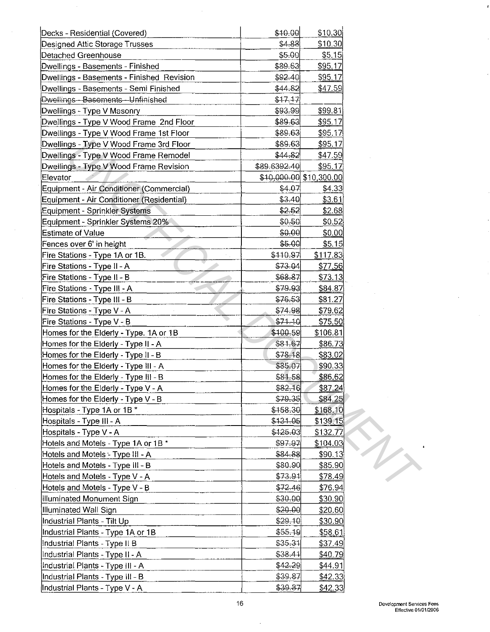| Decks - Residential (Covered)             | \$10.00      | \$10.30                 |  |
|-------------------------------------------|--------------|-------------------------|--|
| Designed Attic Storage Trusses            | \$4.88       | \$10.30                 |  |
| Detached Greenhouse                       | \$5.00       | \$5.15                  |  |
| Dwellings - Basements - Finished          | \$89.63      | \$95.17                 |  |
| Dwellings - Basements - Finished Revision | \$92.40      | \$95.17                 |  |
| Dwellings - Basements - Semi Finished     | \$44.82      | \$47.59                 |  |
| Dwellings - Basements - Unfinished        | \$17.17      |                         |  |
| Dwellings - Type V Masonry                | \$93.99      | \$99.81                 |  |
| Dwellings - Type V Wood Frame 2nd Floor   | \$89.63      | \$95.17                 |  |
| Dwellings - Type V Wood Frame 1st Floor   | \$89.63      | \$95.17                 |  |
| Dwellings - Type V Wood Frame 3rd Floor   | \$89.63      | \$95.17                 |  |
| Dwellings - Type V Wood Frame Remodel     | \$44.82      | \$47.59                 |  |
| Dwellings - Type V Wood Frame Revision    | \$89.6392.40 | \$95.17                 |  |
| Elevator                                  |              | \$10,000.00 \$10,300.00 |  |
| Equipment - Air Conditioner (Commercial)  | \$4.07       | \$4.33                  |  |
| Equipment - Air Conditioner (Residential) | \$3.40       | \$3.61                  |  |
| Equipment - Sprinkler Systems             | \$2.52       | \$2.68                  |  |
| Equipment - Sprinkler Systems 20%         | \$0.50       | \$0.52                  |  |
| <b>Estimate of Value</b>                  | \$0.00       | \$0.00                  |  |
| Fences over 6' in height                  | \$5.00       | \$5.15                  |  |
| Fire Stations - Type 1A or 1B.            | \$110.97     | \$117.83                |  |
| Fire Stations - Type II - A               | \$73.04      | \$77.56                 |  |
| Fire Stations - Type II - B               | \$68.87      | \$73.13                 |  |
| Fire Stations - Type III - A              | \$79.93      | \$84.87                 |  |
| Fire Stations - Type III - B              | \$76.53      | \$81.27                 |  |
| Fire Stations - Type V - A                | \$74.98      | \$79.62                 |  |
| Fire Stations - Type V - B                | $$71-10$     | \$75.50                 |  |
| Homes for the Elderly - Type. 1A or 1B    | \$100.59     | \$106.81                |  |
| Homes for the Elderly - Type II - A       | \$81.67      | \$86.73                 |  |
| Homes for the Elderly - Type II - B       | \$78.18      | \$83.02                 |  |
| Homes for the Elderly - Type III - A      | \$85.07      | \$90.33                 |  |
| Homes for the Elderly - Type III - B      | \$81.58      | \$86.62                 |  |
| Homes for the Elderly - Type V - A        | \$82.16      | \$87.24                 |  |
| Homes for the Elderly - Type V - B        | \$79.35      | \$84.25                 |  |
| Hospitals - Type 1A or 1B *               | \$158.30     | \$168.10                |  |
| Hospitals - Type III - A                  | \$131.05     | \$139.15                |  |
| Hospitals - Type V - A                    | \$425.03     | \$132.77                |  |
| Hotels and Motels - Type 1A or 1B *       | \$97.97      | \$104.03                |  |
| Hotels and Motels - Type III - A          | \$84.88      | \$90.13                 |  |
| Hotels and Motels - Type III - B          | \$80.90      | \$85.90                 |  |
| Hotels and Motels - Type V - A            | \$73.91      | \$78.49                 |  |
| Hotels and Motels - Type V - B            | \$72.46]     | \$76.94                 |  |
| Illuminated Monument Sign                 | \$30.00      | \$30.90                 |  |
| Illuminated Wall Sign                     | \$20.00      | \$20.60                 |  |
| Industrial Plants - Tilt Up               | \$29.10      | \$30.90                 |  |
| Industrial Plants - Type 1A or 1B         | \$55,19      | \$58.61                 |  |
| Industrial Plants - Type II B             | \$35.31      | \$37.49                 |  |
| Industrial Plants - Type II - A           | \$38.41      | \$40.79                 |  |
| Industrial Plants - Type III - A          | \$42.29      | \$44.91                 |  |
| Industrial Plants - Type III - B          | \$39.87      | \$42.33                 |  |
| Industrial Plants - Type V - A            | \$39.87      | \$42.33                 |  |
|                                           |              |                         |  |

 $\sim$ 

 $\hat{\mathcal{A}}$ 

 $\mathcal{A}^{\mathcal{A}}$ 

 $\sim$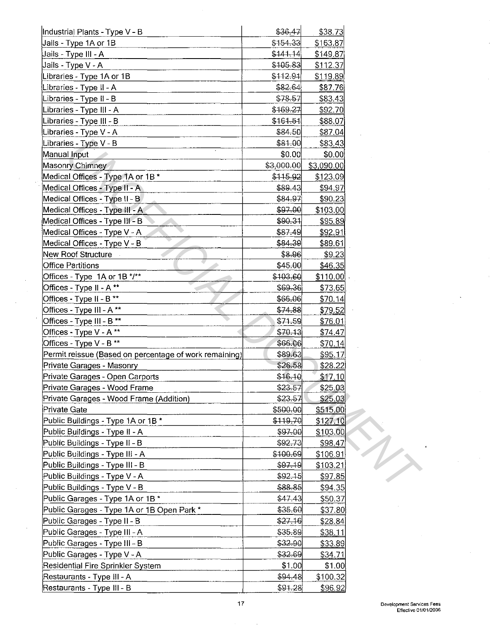| Industrial Plants - Type V - B                                   | \$36.47            | \$38.73    |                     |
|------------------------------------------------------------------|--------------------|------------|---------------------|
| Jails - Type 1A or 1B                                            | \$154.33           | \$163.87   |                     |
| Jails - Type III - A                                             | \$141.14           | \$149.87   |                     |
| Jails - Type V - A                                               | \$105.83           | \$112.37   |                     |
| Libraries - Type 1A or 1B                                        | \$112.91           | \$119.89   |                     |
| Libraries - Type II - A                                          | \$82.64            | \$87.76    |                     |
| Libraries - Type II - B                                          | \$78.57            | \$83.43    |                     |
| Libraries - Type III - A                                         | \$169.27           | \$92.70    |                     |
| Libraries - Type III - B                                         | \$161.51           | \$88.07    |                     |
| Libraries - Type V - A                                           | \$84.50            | \$87,04    |                     |
| Libraries - Type V - B                                           | \$81.00            | \$83.43    |                     |
| Manual Input                                                     | \$0.00             | \$0.00     |                     |
| Masonry Chimney                                                  | \$3,000.00]        | \$3,090.00 |                     |
| Medical Offices - Type 1A or 1B *                                | \$115.92           | \$123.09   |                     |
| Medical Offices - Type II - A                                    | \$89.43            | \$94.97    |                     |
| Medical Offices - Type II - B                                    | \$84.97            | \$90.23    |                     |
| Medical Offices - Type III - A                                   | \$97.00            | \$103.00   |                     |
| Medical Offices - Type III - B                                   | \$90.31            | \$95.89    |                     |
| Medical Offices - Type V - A                                     | \$87.49            | \$92.91    |                     |
| Medical Offices - Type V - B                                     | \$84.39            | \$89.61    |                     |
| New Roof Structure                                               | \$8.96             | \$9.23     |                     |
| <b>Office Partitions</b>                                         | \$45.00            | \$46.35    |                     |
| Offices - Type 1A or 1B */**                                     | \$103.60           | \$110.00]  |                     |
| Offices - Type II - A **                                         | \$69-36            |            |                     |
|                                                                  |                    | \$73.65    |                     |
| Offices - Type II - B <sup>**</sup><br>Offices - Type III - A ** | \$66.06<br>\$74.88 | \$70.14]   |                     |
|                                                                  |                    | \$79.52    |                     |
| Offices - Type III - B **                                        | \$71.59            | \$76.01    |                     |
| Offices - Type V - A**<br>Offices - Type V - B **                | \$70.13            | \$74.47    |                     |
|                                                                  | \$66.06            | \$70.14    |                     |
| Permit reissue (Based on percentage of work remaining)           | \$89.63            | \$95.17    |                     |
| Private Garages - Masonry                                        | \$26.58            | \$28.22    |                     |
| Private Garages - Open Carports                                  | \$16.10            | \$17.10    |                     |
| Private Garages - Wood Frame                                     | \$23.57            | \$25.03    |                     |
| Private Garages - Wood Frame (Addition)                          | \$23.57            | \$25.03    |                     |
| Private Gate                                                     | \$500.00           | \$515.00   |                     |
| Public Buildings - Type 1A or 1B *                               | \$119.70           | \$127.10   |                     |
| Public Buildings - Type II - A                                   | \$97-00            | \$103.00   |                     |
| Public Buildings - Type II - B                                   | \$92.73            | \$98,47    | $\boldsymbol{\psi}$ |
| Public Buildings - Type III - A                                  | \$100.69           | \$106.91   |                     |
| Public Buildings - Type III - B                                  | \$97.19            | \$103.21   |                     |
| Public Buildings - Type V - A                                    | \$92.15            | \$97.85    |                     |
| Public Buildings - Type V - B                                    | \$88.85            | \$94.35    |                     |
| Public Garages - Type 1A or 1B *                                 | \$47.43            | \$50.37    |                     |
| Public Garages - Type 1A or 1B Open Park *                       | \$35.60            | \$37.80    |                     |
| Public Garages - Type II - B                                     | \$27.16            | \$28.84    |                     |
| Public Garages - Type III - A                                    | \$35.89            | \$38.11    |                     |
| Public Garages - Type III - B                                    | \$32.90            | \$33.89    |                     |
| Public Garages - Type V - A                                      | \$32.69            | \$34.71    |                     |
| Residential Fire Sprinkler System                                | \$1.00             | \$1.00     |                     |
| Restaurants - Type III - A                                       | \$94.48            | \$100.32   |                     |
| Restaurants - Type III - B                                       | \$91.28            | \$96.92    |                     |

 $\lambda$